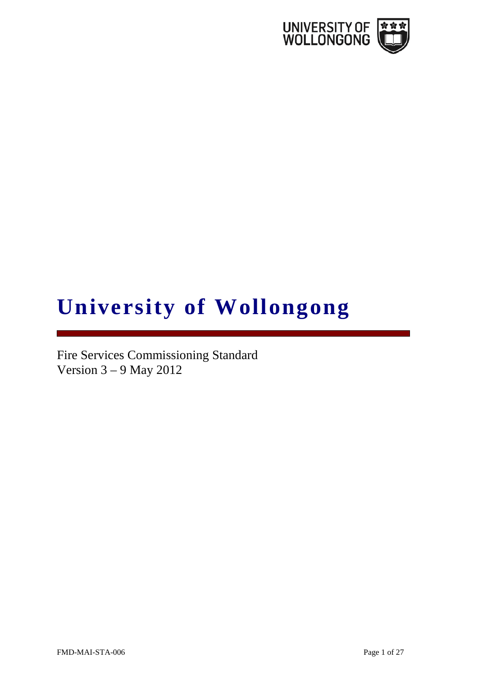

# **University of Wollongong**

Fire Services Commissioning Standard Version 3 – 9 May 2012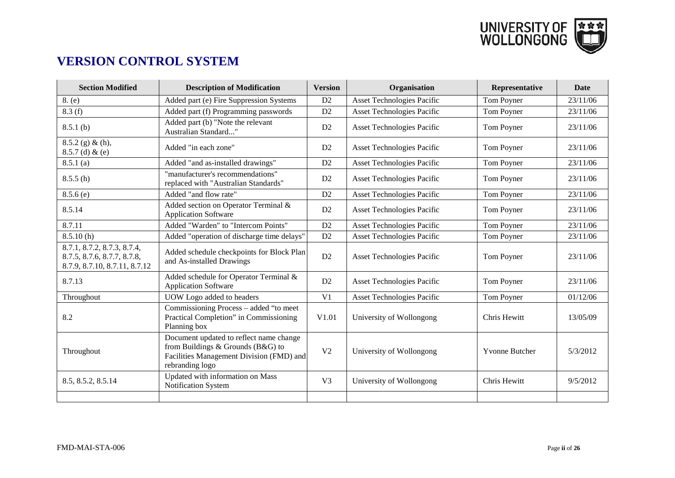

# **VERSION CONTROL SYSTEM**

| <b>Section Modified</b>                                                                     | <b>Description of Modification</b>                                                                                                          | <b>Version</b> | Organisation                      | Representative        | <b>Date</b> |
|---------------------------------------------------------------------------------------------|---------------------------------------------------------------------------------------------------------------------------------------------|----------------|-----------------------------------|-----------------------|-------------|
| 8. (e)                                                                                      | Added part (e) Fire Suppression Systems                                                                                                     | D2             | <b>Asset Technologies Pacific</b> | Tom Poyner            | 23/11/06    |
| 8.3(f)                                                                                      | Added part (f) Programming passwords                                                                                                        | D2             | <b>Asset Technologies Pacific</b> | Tom Poyner            | 23/11/06    |
| 8.5.1(b)                                                                                    | Added part (b) "Note the relevant<br>Australian Standard"                                                                                   | D2             | <b>Asset Technologies Pacific</b> | Tom Poyner            | 23/11/06    |
| $8.5.2$ (g) & (h),<br>$8.5.7$ (d) & (e)                                                     | Added "in each zone"                                                                                                                        | D2             | Asset Technologies Pacific        | Tom Poyner            | 23/11/06    |
| 8.5.1(a)                                                                                    | Added "and as-installed drawings"                                                                                                           | D2             | <b>Asset Technologies Pacific</b> | Tom Poyner            | 23/11/06    |
| 8.5.5(h)                                                                                    | "manufacturer's recommendations"<br>replaced with "Australian Standards"                                                                    | D2             | <b>Asset Technologies Pacific</b> | Tom Poyner            | 23/11/06    |
| 8.5.6(e)                                                                                    | Added "and flow rate"                                                                                                                       | D2             | Asset Technologies Pacific        | Tom Poyner            | 23/11/06    |
| 8.5.14                                                                                      | Added section on Operator Terminal &<br><b>Application Software</b>                                                                         | D2             | <b>Asset Technologies Pacific</b> | Tom Poyner            | 23/11/06    |
| 8.7.11                                                                                      | Added "Warden" to "Intercom Points"                                                                                                         | D2             | Asset Technologies Pacific        | Tom Poyner            | 23/11/06    |
| 8.5.10(h)                                                                                   | Added "operation of discharge time delays"                                                                                                  | D2             | <b>Asset Technologies Pacific</b> | Tom Poyner            | 23/11/06    |
| 8.7.1, 8.7.2, 8.7.3, 8.7.4,<br>8.7.5, 8.7.6, 8.7.7, 8.7.8,<br>8.7.9, 8.7.10, 8.7.11, 8.7.12 | Added schedule checkpoints for Block Plan<br>and As-installed Drawings                                                                      | D2             | Asset Technologies Pacific        | Tom Poyner            | 23/11/06    |
| 8.7.13                                                                                      | Added schedule for Operator Terminal &<br><b>Application Software</b>                                                                       | D2             | Asset Technologies Pacific        | Tom Poyner            | 23/11/06    |
| Throughout                                                                                  | UOW Logo added to headers                                                                                                                   | V <sub>1</sub> | Asset Technologies Pacific        | Tom Poyner            | 01/12/06    |
| 8.2                                                                                         | Commissioning Process – added "to meet<br>Practical Completion" in Commissioning<br>Planning box                                            | V1.01          | University of Wollongong          | Chris Hewitt          | 13/05/09    |
| Throughout                                                                                  | Document updated to reflect name change<br>from Buildings & Grounds (B&G) to<br>Facilities Management Division (FMD) and<br>rebranding logo | V <sub>2</sub> | University of Wollongong          | <b>Yvonne Butcher</b> | 5/3/2012    |
| 8.5, 8.5.2, 8.5.14                                                                          | Updated with information on Mass<br>Notification System                                                                                     | V <sub>3</sub> | University of Wollongong          | Chris Hewitt          | 9/5/2012    |
|                                                                                             |                                                                                                                                             |                |                                   |                       |             |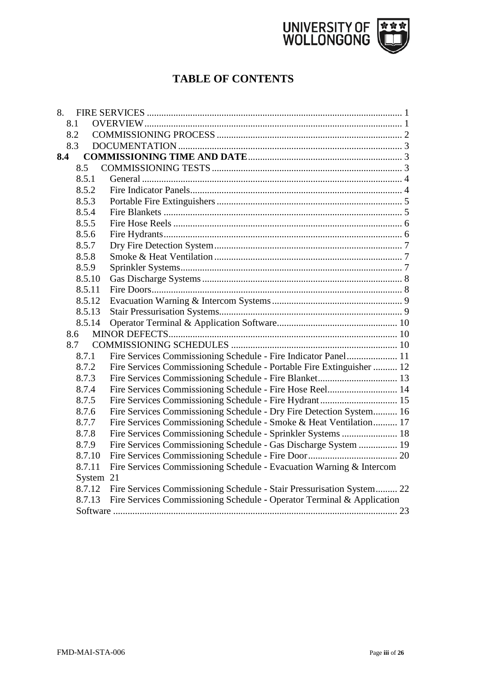

# **TABLE OF CONTENTS**

|     | 8.1       |                                                                        |  |
|-----|-----------|------------------------------------------------------------------------|--|
|     | 8.2       |                                                                        |  |
|     | 8.3       |                                                                        |  |
| 8.4 |           |                                                                        |  |
|     | 8.5       |                                                                        |  |
|     | 8.5.1     |                                                                        |  |
|     | 8.5.2     |                                                                        |  |
|     | 8.5.3     |                                                                        |  |
|     | 8.5.4     |                                                                        |  |
|     | 8.5.5     |                                                                        |  |
|     | 8.5.6     |                                                                        |  |
|     | 8.5.7     |                                                                        |  |
|     | 8.5.8     |                                                                        |  |
|     | 8.5.9     |                                                                        |  |
|     | 8.5.10    |                                                                        |  |
|     | 8.5.11    |                                                                        |  |
|     | 8.5.12    |                                                                        |  |
|     | 8.5.13    |                                                                        |  |
|     | 8.5.14    |                                                                        |  |
|     | 8.6       |                                                                        |  |
|     | 8.7       |                                                                        |  |
|     | 8.7.1     | Fire Services Commissioning Schedule - Fire Indicator Panel 11         |  |
|     | 8.7.2     | Fire Services Commissioning Schedule - Portable Fire Extinguisher  12  |  |
|     | 8.7.3     |                                                                        |  |
|     | 8.7.4     | Fire Services Commissioning Schedule - Fire Hose Reel 14               |  |
|     | 8.7.5     |                                                                        |  |
|     | 8.7.6     | Fire Services Commissioning Schedule - Dry Fire Detection System 16    |  |
|     | 8.7.7     | Fire Services Commissioning Schedule - Smoke & Heat Ventilation 17     |  |
|     | 8.7.8     | Fire Services Commissioning Schedule - Sprinkler Systems  18           |  |
|     | 8.7.9     | Fire Services Commissioning Schedule - Gas Discharge System  19        |  |
|     | 8.7.10    |                                                                        |  |
|     | 8.7.11    | Fire Services Commissioning Schedule - Evacuation Warning & Intercom   |  |
|     | System 21 |                                                                        |  |
|     | 8.7.12    | Fire Services Commissioning Schedule - Stair Pressurisation System 22  |  |
|     | 8.7.13    | Fire Services Commissioning Schedule - Operator Terminal & Application |  |
|     |           |                                                                        |  |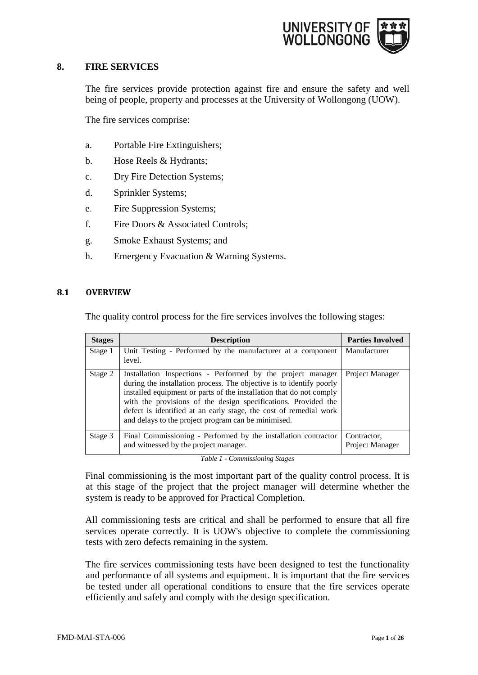

# <span id="page-3-0"></span>**8. FIRE SERVICES**

The fire services provide protection against fire and ensure the safety and well being of people, property and processes at the University of Wollongong (UOW).

The fire services comprise:

- a. Portable Fire Extinguishers;
- b. Hose Reels & Hydrants;
- c. Dry Fire Detection Systems;
- d. Sprinkler Systems;
- e. Fire Suppression Systems;
- f. Fire Doors & Associated Controls;
- g. Smoke Exhaust Systems; and
- h. Emergency Evacuation & Warning Systems.

#### <span id="page-3-1"></span>**8.1 OVERVIEW**

The quality control process for the fire services involves the following stages:

| <b>Stages</b> | <b>Description</b>                                                                                                                                                                                                                                                                                                                                                                                       | <b>Parties Involved</b>        |
|---------------|----------------------------------------------------------------------------------------------------------------------------------------------------------------------------------------------------------------------------------------------------------------------------------------------------------------------------------------------------------------------------------------------------------|--------------------------------|
| Stage 1       | Unit Testing - Performed by the manufacturer at a component<br>level.                                                                                                                                                                                                                                                                                                                                    | Manufacturer                   |
| Stage 2       | Installation Inspections - Performed by the project manager<br>during the installation process. The objective is to identify poorly<br>installed equipment or parts of the installation that do not comply<br>with the provisions of the design specifications. Provided the<br>defect is identified at an early stage, the cost of remedial work<br>and delays to the project program can be minimised. | Project Manager                |
| Stage 3       | Final Commissioning - Performed by the installation contractor<br>and witnessed by the project manager.                                                                                                                                                                                                                                                                                                  | Contractor,<br>Project Manager |

*Table 1 - Commissioning Stages*

Final commissioning is the most important part of the quality control process. It is at this stage of the project that the project manager will determine whether the system is ready to be approved for Practical Completion.

All commissioning tests are critical and shall be performed to ensure that all fire services operate correctly. It is UOW's objective to complete the commissioning tests with zero defects remaining in the system.

The fire services commissioning tests have been designed to test the functionality and performance of all systems and equipment. It is important that the fire services be tested under all operational conditions to ensure that the fire services operate efficiently and safely and comply with the design specification.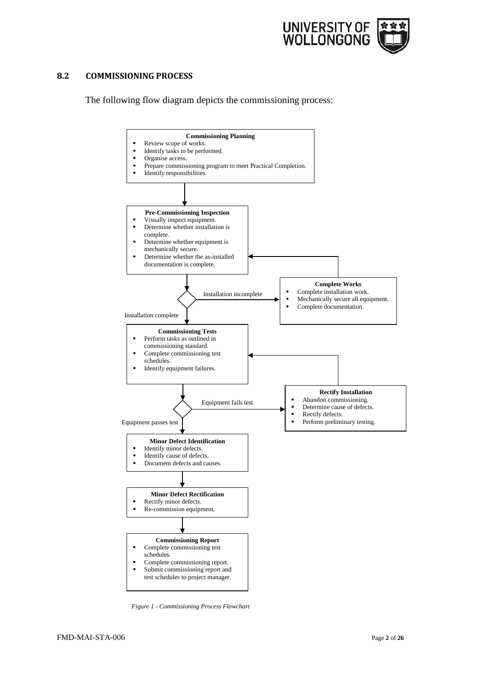

# <span id="page-4-0"></span>**8.2 COMMISSIONING PROCESS**

The following flow diagram depicts the commissioning process:



*Figure 1 - Commissioning Process Flowchart*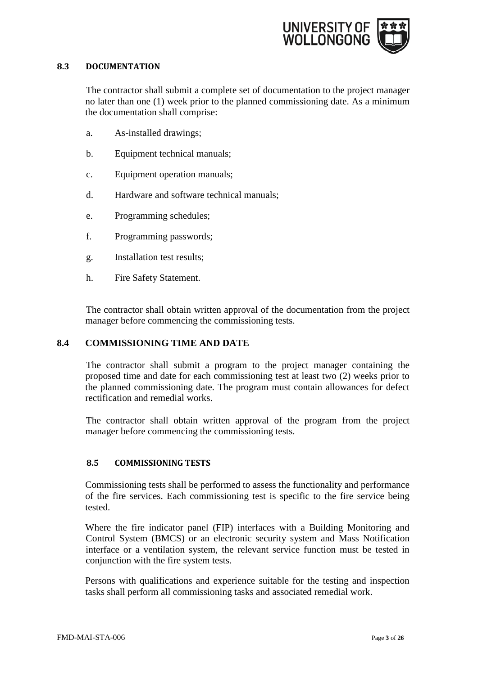

# <span id="page-5-0"></span>**8.3 DOCUMENTATION**

The contractor shall submit a complete set of documentation to the project manager no later than one (1) week prior to the planned commissioning date. As a minimum the documentation shall comprise:

- a. As-installed drawings;
- b. Equipment technical manuals;
- c. Equipment operation manuals;
- d. Hardware and software technical manuals;
- e. Programming schedules;
- f. Programming passwords;
- g. Installation test results;
- h. Fire Safety Statement.

The contractor shall obtain written approval of the documentation from the project manager before commencing the commissioning tests.

# <span id="page-5-1"></span>**8.4 COMMISSIONING TIME AND DATE**

The contractor shall submit a program to the project manager containing the proposed time and date for each commissioning test at least two (2) weeks prior to the planned commissioning date. The program must contain allowances for defect rectification and remedial works.

The contractor shall obtain written approval of the program from the project manager before commencing the commissioning tests.

# <span id="page-5-2"></span>**8.5 COMMISSIONING TESTS**

Commissioning tests shall be performed to assess the functionality and performance of the fire services. Each commissioning test is specific to the fire service being tested.

Where the fire indicator panel (FIP) interfaces with a Building Monitoring and Control System (BMCS) or an electronic security system and Mass Notification interface or a ventilation system, the relevant service function must be tested in conjunction with the fire system tests.

Persons with qualifications and experience suitable for the testing and inspection tasks shall perform all commissioning tasks and associated remedial work.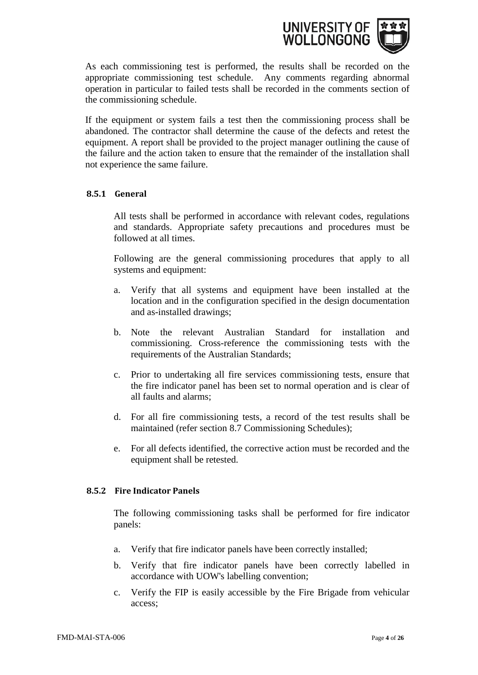

As each commissioning test is performed, the results shall be recorded on the appropriate commissioning test schedule. Any comments regarding abnormal operation in particular to failed tests shall be recorded in the comments section of the commissioning schedule.

If the equipment or system fails a test then the commissioning process shall be abandoned. The contractor shall determine the cause of the defects and retest the equipment. A report shall be provided to the project manager outlining the cause of the failure and the action taken to ensure that the remainder of the installation shall not experience the same failure.

# <span id="page-6-0"></span>**8.5.1 General**

All tests shall be performed in accordance with relevant codes, regulations and standards. Appropriate safety precautions and procedures must be followed at all times.

Following are the general commissioning procedures that apply to all systems and equipment:

- a. Verify that all systems and equipment have been installed at the location and in the configuration specified in the design documentation and as-installed drawings;
- b. Note the relevant Australian Standard for installation and commissioning. Cross-reference the commissioning tests with the requirements of the Australian Standards;
- c. Prior to undertaking all fire services commissioning tests, ensure that the fire indicator panel has been set to normal operation and is clear of all faults and alarms;
- d. For all fire commissioning tests, a record of the test results shall be maintained (refer section 8.7 Commissioning Schedules);
- e. For all defects identified, the corrective action must be recorded and the equipment shall be retested.

#### <span id="page-6-1"></span>**8.5.2 Fire Indicator Panels**

The following commissioning tasks shall be performed for fire indicator panels:

- a. Verify that fire indicator panels have been correctly installed;
- b. Verify that fire indicator panels have been correctly labelled in accordance with UOW's labelling convention;
- c. Verify the FIP is easily accessible by the Fire Brigade from vehicular access;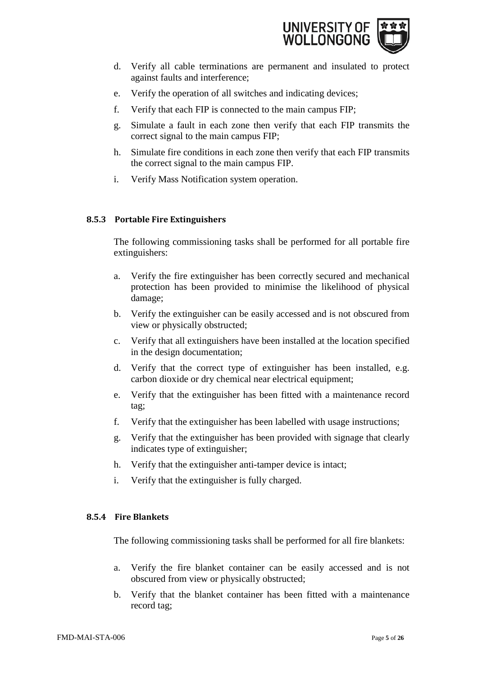

- d. Verify all cable terminations are permanent and insulated to protect against faults and interference;
- e. Verify the operation of all switches and indicating devices;
- f. Verify that each FIP is connected to the main campus FIP;
- g. Simulate a fault in each zone then verify that each FIP transmits the correct signal to the main campus FIP;
- h. Simulate fire conditions in each zone then verify that each FIP transmits the correct signal to the main campus FIP.
- i. Verify Mass Notification system operation.

# <span id="page-7-0"></span>**8.5.3 Portable Fire Extinguishers**

The following commissioning tasks shall be performed for all portable fire extinguishers:

- a. Verify the fire extinguisher has been correctly secured and mechanical protection has been provided to minimise the likelihood of physical damage;
- b. Verify the extinguisher can be easily accessed and is not obscured from view or physically obstructed;
- c. Verify that all extinguishers have been installed at the location specified in the design documentation;
- d. Verify that the correct type of extinguisher has been installed, e.g. carbon dioxide or dry chemical near electrical equipment;
- e. Verify that the extinguisher has been fitted with a maintenance record tag;
- f. Verify that the extinguisher has been labelled with usage instructions;
- g. Verify that the extinguisher has been provided with signage that clearly indicates type of extinguisher;
- h. Verify that the extinguisher anti-tamper device is intact;
- i. Verify that the extinguisher is fully charged.

# <span id="page-7-1"></span>**8.5.4 Fire Blankets**

The following commissioning tasks shall be performed for all fire blankets:

- a. Verify the fire blanket container can be easily accessed and is not obscured from view or physically obstructed;
- b. Verify that the blanket container has been fitted with a maintenance record tag;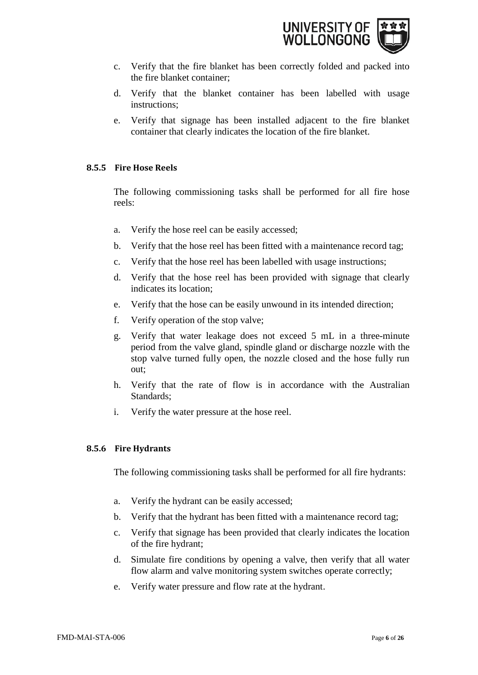

- c. Verify that the fire blanket has been correctly folded and packed into the fire blanket container;
- d. Verify that the blanket container has been labelled with usage instructions;
- e. Verify that signage has been installed adjacent to the fire blanket container that clearly indicates the location of the fire blanket.

# <span id="page-8-0"></span>**8.5.5 Fire Hose Reels**

The following commissioning tasks shall be performed for all fire hose reels:

- a. Verify the hose reel can be easily accessed;
- b. Verify that the hose reel has been fitted with a maintenance record tag;
- c. Verify that the hose reel has been labelled with usage instructions;
- d. Verify that the hose reel has been provided with signage that clearly indicates its location;
- e. Verify that the hose can be easily unwound in its intended direction;
- f. Verify operation of the stop valve;
- g. Verify that water leakage does not exceed 5 mL in a three-minute period from the valve gland, spindle gland or discharge nozzle with the stop valve turned fully open, the nozzle closed and the hose fully run out;
- h. Verify that the rate of flow is in accordance with the Australian Standards;
- i. Verify the water pressure at the hose reel.

#### <span id="page-8-1"></span>**8.5.6 Fire Hydrants**

The following commissioning tasks shall be performed for all fire hydrants:

- a. Verify the hydrant can be easily accessed;
- b. Verify that the hydrant has been fitted with a maintenance record tag;
- c. Verify that signage has been provided that clearly indicates the location of the fire hydrant;
- d. Simulate fire conditions by opening a valve, then verify that all water flow alarm and valve monitoring system switches operate correctly;
- e. Verify water pressure and flow rate at the hydrant.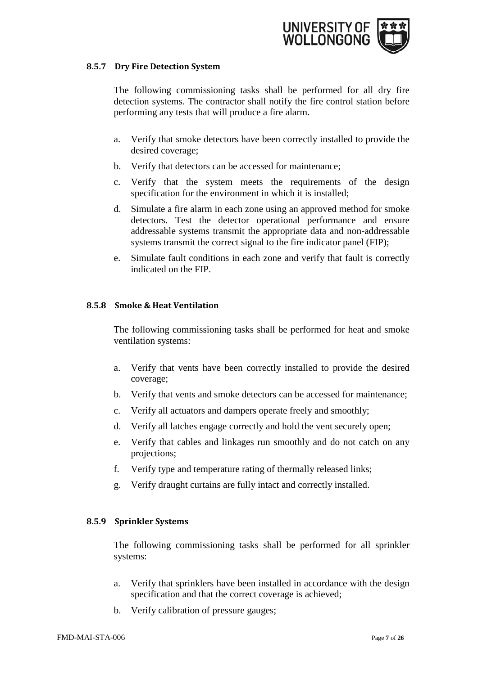

#### <span id="page-9-0"></span>**8.5.7 Dry Fire Detection System**

The following commissioning tasks shall be performed for all dry fire detection systems. The contractor shall notify the fire control station before performing any tests that will produce a fire alarm.

- a. Verify that smoke detectors have been correctly installed to provide the desired coverage;
- b. Verify that detectors can be accessed for maintenance;
- c. Verify that the system meets the requirements of the design specification for the environment in which it is installed;
- d. Simulate a fire alarm in each zone using an approved method for smoke detectors. Test the detector operational performance and ensure addressable systems transmit the appropriate data and non-addressable systems transmit the correct signal to the fire indicator panel (FIP);
- e. Simulate fault conditions in each zone and verify that fault is correctly indicated on the FIP.

# <span id="page-9-1"></span>**8.5.8 Smoke & Heat Ventilation**

The following commissioning tasks shall be performed for heat and smoke ventilation systems:

- a. Verify that vents have been correctly installed to provide the desired coverage;
- b. Verify that vents and smoke detectors can be accessed for maintenance;
- c. Verify all actuators and dampers operate freely and smoothly;
- d. Verify all latches engage correctly and hold the vent securely open;
- e. Verify that cables and linkages run smoothly and do not catch on any projections;
- f. Verify type and temperature rating of thermally released links;
- g. Verify draught curtains are fully intact and correctly installed.

# <span id="page-9-2"></span>**8.5.9 Sprinkler Systems**

The following commissioning tasks shall be performed for all sprinkler systems:

- a. Verify that sprinklers have been installed in accordance with the design specification and that the correct coverage is achieved;
- b. Verify calibration of pressure gauges;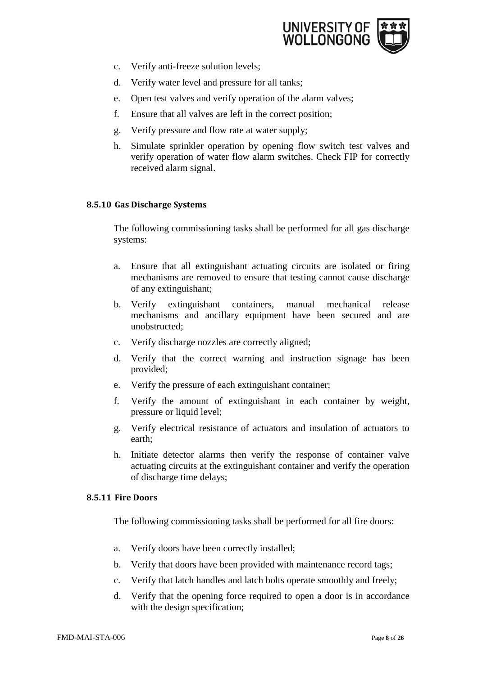

- c. Verify anti-freeze solution levels;
- d. Verify water level and pressure for all tanks;
- e. Open test valves and verify operation of the alarm valves;
- f. Ensure that all valves are left in the correct position;
- g. Verify pressure and flow rate at water supply;
- h. Simulate sprinkler operation by opening flow switch test valves and verify operation of water flow alarm switches. Check FIP for correctly received alarm signal.

# <span id="page-10-0"></span>**8.5.10 Gas Discharge Systems**

The following commissioning tasks shall be performed for all gas discharge systems:

- a. Ensure that all extinguishant actuating circuits are isolated or firing mechanisms are removed to ensure that testing cannot cause discharge of any extinguishant;
- b. Verify extinguishant containers, manual mechanical release mechanisms and ancillary equipment have been secured and are unobstructed;
- c. Verify discharge nozzles are correctly aligned;
- d. Verify that the correct warning and instruction signage has been provided;
- e. Verify the pressure of each extinguishant container;
- f. Verify the amount of extinguishant in each container by weight, pressure or liquid level;
- g. Verify electrical resistance of actuators and insulation of actuators to earth;
- h. Initiate detector alarms then verify the response of container valve actuating circuits at the extinguishant container and verify the operation of discharge time delays;

#### <span id="page-10-1"></span>**8.5.11 Fire Doors**

The following commissioning tasks shall be performed for all fire doors:

- a. Verify doors have been correctly installed;
- b. Verify that doors have been provided with maintenance record tags;
- c. Verify that latch handles and latch bolts operate smoothly and freely;
- d. Verify that the opening force required to open a door is in accordance with the design specification;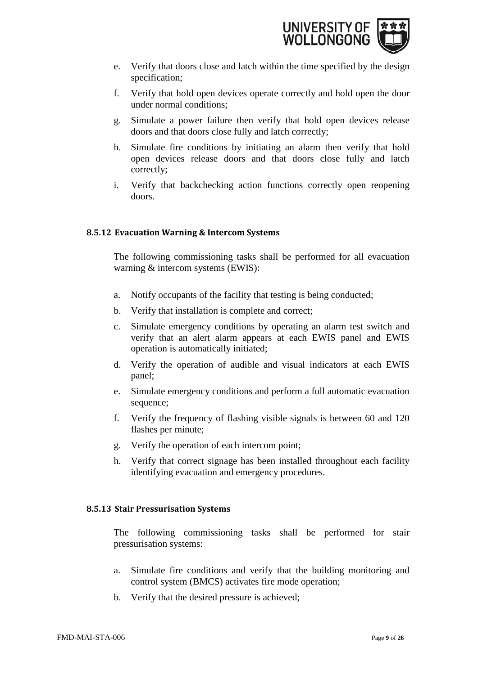

- e. Verify that doors close and latch within the time specified by the design specification;
- f. Verify that hold open devices operate correctly and hold open the door under normal conditions;
- g. Simulate a power failure then verify that hold open devices release doors and that doors close fully and latch correctly;
- h. Simulate fire conditions by initiating an alarm then verify that hold open devices release doors and that doors close fully and latch correctly;
- i. Verify that backchecking action functions correctly open reopening doors.

# <span id="page-11-0"></span>**8.5.12 Evacuation Warning & Intercom Systems**

The following commissioning tasks shall be performed for all evacuation warning & intercom systems (EWIS):

- a. Notify occupants of the facility that testing is being conducted;
- b. Verify that installation is complete and correct;
- c. Simulate emergency conditions by operating an alarm test switch and verify that an alert alarm appears at each EWIS panel and EWIS operation is automatically initiated;
- d. Verify the operation of audible and visual indicators at each EWIS panel;
- e. Simulate emergency conditions and perform a full automatic evacuation sequence;
- f. Verify the frequency of flashing visible signals is between 60 and 120 flashes per minute;
- g. Verify the operation of each intercom point;
- h. Verify that correct signage has been installed throughout each facility identifying evacuation and emergency procedures.

#### <span id="page-11-1"></span>**8.5.13 Stair Pressurisation Systems**

The following commissioning tasks shall be performed for stair pressurisation systems:

- a. Simulate fire conditions and verify that the building monitoring and control system (BMCS) activates fire mode operation;
- b. Verify that the desired pressure is achieved;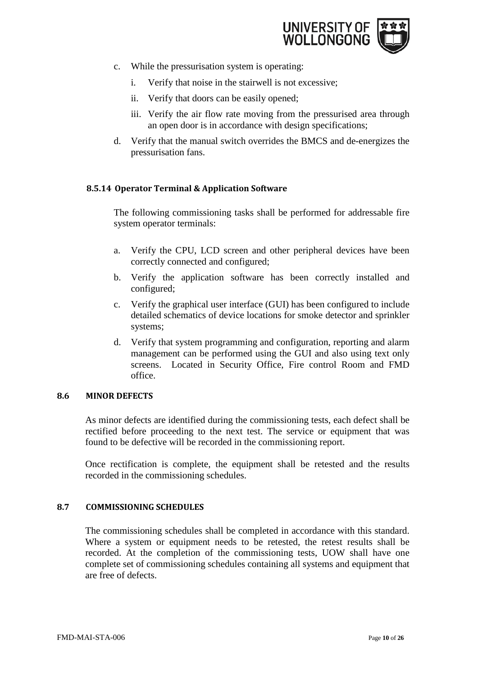

- c. While the pressurisation system is operating:
	- i. Verify that noise in the stairwell is not excessive;
	- ii. Verify that doors can be easily opened;
	- iii. Verify the air flow rate moving from the pressurised area through an open door is in accordance with design specifications;
- d. Verify that the manual switch overrides the BMCS and de-energizes the pressurisation fans.

# <span id="page-12-0"></span>**8.5.14 Operator Terminal & Application Software**

The following commissioning tasks shall be performed for addressable fire system operator terminals:

- a. Verify the CPU, LCD screen and other peripheral devices have been correctly connected and configured;
- b. Verify the application software has been correctly installed and configured;
- c. Verify the graphical user interface (GUI) has been configured to include detailed schematics of device locations for smoke detector and sprinkler systems;
- d. Verify that system programming and configuration, reporting and alarm management can be performed using the GUI and also using text only screens. Located in Security Office, Fire control Room and FMD office.

#### <span id="page-12-1"></span>**8.6 MINOR DEFECTS**

As minor defects are identified during the commissioning tests, each defect shall be rectified before proceeding to the next test. The service or equipment that was found to be defective will be recorded in the commissioning report.

Once rectification is complete, the equipment shall be retested and the results recorded in the commissioning schedules.

#### <span id="page-12-2"></span>**8.7 COMMISSIONING SCHEDULES**

The commissioning schedules shall be completed in accordance with this standard. Where a system or equipment needs to be retested, the retest results shall be recorded. At the completion of the commissioning tests, UOW shall have one complete set of commissioning schedules containing all systems and equipment that are free of defects.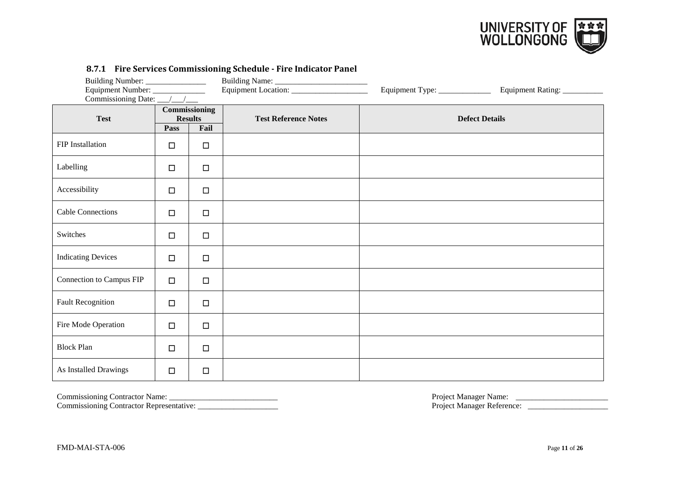

|                           |        |                                         | 0.7.1 The bet vices commissioning beneaute The marculor Funct | Equipment Type: _____________ | Equipment Rating:     |
|---------------------------|--------|-----------------------------------------|---------------------------------------------------------------|-------------------------------|-----------------------|
| <b>Test</b>               | Pass   | Commissioning<br><b>Results</b><br>Fail | <b>Test Reference Notes</b>                                   |                               | <b>Defect Details</b> |
| FIP Installation          | $\Box$ | $\Box$                                  |                                                               |                               |                       |
| Labelling                 | $\Box$ | $\Box$                                  |                                                               |                               |                       |
| Accessibility             | $\Box$ | $\Box$                                  |                                                               |                               |                       |
| <b>Cable Connections</b>  | $\Box$ | $\Box$                                  |                                                               |                               |                       |
| Switches                  | $\Box$ | $\Box$                                  |                                                               |                               |                       |
| <b>Indicating Devices</b> | $\Box$ | $\Box$                                  |                                                               |                               |                       |
| Connection to Campus FIP  | $\Box$ | $\Box$                                  |                                                               |                               |                       |
| <b>Fault Recognition</b>  | $\Box$ | $\Box$                                  |                                                               |                               |                       |
| Fire Mode Operation       | □      | $\Box$                                  |                                                               |                               |                       |
| <b>Block Plan</b>         | $\Box$ | $\Box$                                  |                                                               |                               |                       |
| As Installed Drawings     | □      | $\Box$                                  |                                                               |                               |                       |

#### **8.7.1 Fire Services Commissioning Schedule - Fire Indicator Panel**

<span id="page-13-0"></span>

Commissioning Contractor Representative: \_\_\_\_\_\_\_\_\_\_\_\_\_\_\_\_\_\_\_\_ Project Manager Reference: \_\_\_\_\_\_\_\_\_\_\_\_\_\_\_\_\_\_\_\_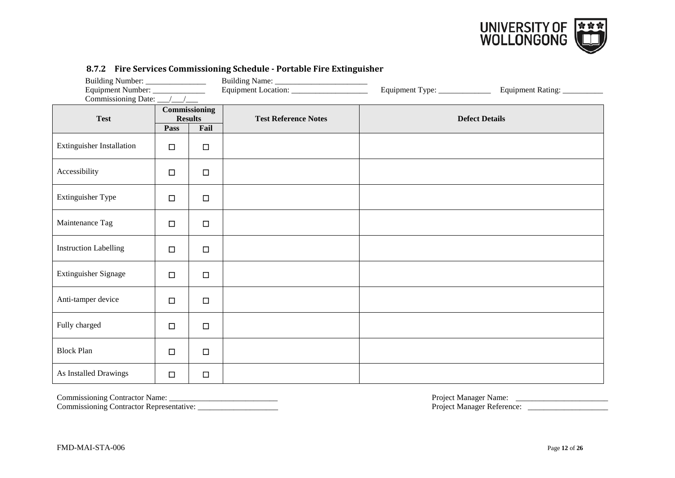

| Equipment Number: ______________<br>Commissioning Date: __/__/___ |                                 |                | <u></u>                     | Equipment Type: ______________ | Equipment Rating: __________ |
|-------------------------------------------------------------------|---------------------------------|----------------|-----------------------------|--------------------------------|------------------------------|
| <b>Test</b>                                                       | Commissioning<br><b>Results</b> |                | <b>Test Reference Notes</b> |                                | <b>Defect Details</b>        |
| <b>Extinguisher Installation</b>                                  | Pass<br>$\Box$                  | Fail<br>$\Box$ |                             |                                |                              |
| Accessibility                                                     | $\Box$                          | $\Box$         |                             |                                |                              |
| Extinguisher Type                                                 | $\Box$                          | $\Box$         |                             |                                |                              |
| Maintenance Tag                                                   | $\Box$                          | $\Box$         |                             |                                |                              |
| <b>Instruction Labelling</b>                                      | $\Box$                          | $\Box$         |                             |                                |                              |
| Extinguisher Signage                                              | $\Box$                          | $\Box$         |                             |                                |                              |
| Anti-tamper device                                                | $\Box$                          | $\Box$         |                             |                                |                              |
| Fully charged                                                     | $\Box$                          | $\Box$         |                             |                                |                              |
| <b>Block Plan</b>                                                 | $\Box$                          | $\Box$         |                             |                                |                              |
| As Installed Drawings                                             | $\Box$                          | $\Box$         |                             |                                |                              |

#### **8.7.2 Fire Services Commissioning Schedule - Portable Fire Extinguisher**

<span id="page-14-0"></span>

Commissioning Contractor Representative: \_\_\_\_\_\_\_\_\_\_\_\_\_\_\_\_\_\_\_\_ Project Manager Reference: \_\_\_\_\_\_\_\_\_\_\_\_\_\_\_\_\_\_\_\_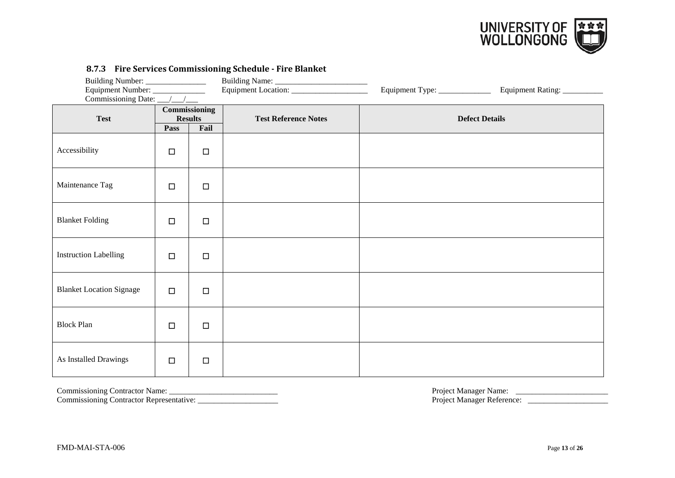

| Building Number: _________________<br>Equipment Number: ______________<br>Commissioning Date: $\frac{\sqrt{1-\frac{1}{2}}}{\sqrt{1-\frac{1}{2}}}$ |                                                 |        |  | Equipment Type: _____________ | Equipment Rating: __________ |  |                             |  |                       |
|---------------------------------------------------------------------------------------------------------------------------------------------------|-------------------------------------------------|--------|--|-------------------------------|------------------------------|--|-----------------------------|--|-----------------------|
| <b>Test</b>                                                                                                                                       | Commissioning<br><b>Results</b><br>Fail<br>Pass |        |  |                               |                              |  | <b>Test Reference Notes</b> |  | <b>Defect Details</b> |
| Accessibility                                                                                                                                     | $\Box$                                          | $\Box$ |  |                               |                              |  |                             |  |                       |
| Maintenance Tag                                                                                                                                   | $\Box$                                          | $\Box$ |  |                               |                              |  |                             |  |                       |
| <b>Blanket Folding</b>                                                                                                                            | $\Box$                                          | $\Box$ |  |                               |                              |  |                             |  |                       |
| <b>Instruction Labelling</b>                                                                                                                      | $\Box$                                          | $\Box$ |  |                               |                              |  |                             |  |                       |
| <b>Blanket Location Signage</b>                                                                                                                   | $\Box$                                          | $\Box$ |  |                               |                              |  |                             |  |                       |
| <b>Block Plan</b>                                                                                                                                 | $\Box$                                          | $\Box$ |  |                               |                              |  |                             |  |                       |
| As Installed Drawings                                                                                                                             | $\Box$                                          | $\Box$ |  |                               |                              |  |                             |  |                       |

#### **8.7.3 Fire Services Commissioning Schedule - Fire Blanket**

<span id="page-15-0"></span>Commissioning Contractor Name: \_\_\_\_\_\_\_\_\_\_\_\_\_\_\_\_\_\_\_\_\_\_\_\_\_\_\_ Project Manager Name: \_\_\_\_\_\_\_\_\_\_\_\_\_\_\_\_\_\_\_\_\_\_\_

Commissioning Contractor Representative: \_\_\_\_\_\_\_\_\_\_\_\_\_\_\_\_\_\_\_\_ Project Manager Reference: \_\_\_\_\_\_\_\_\_\_\_\_\_\_\_\_\_\_\_\_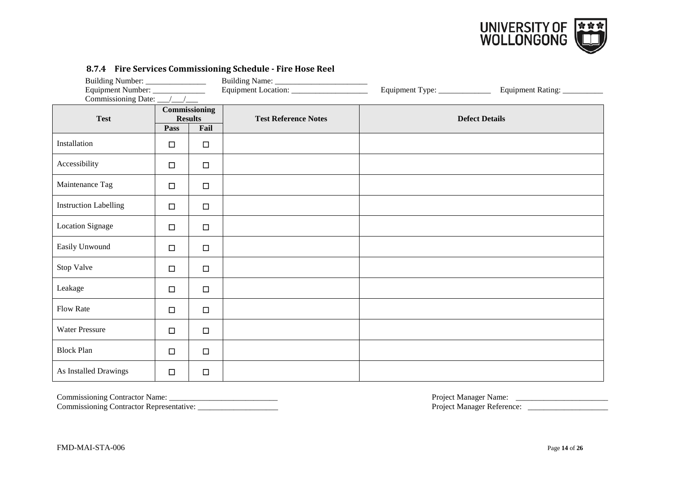

| Equipment Number: ______________<br>Commissioning Date: __/__/___ |        |                                         | Equipment Type: _____________ | Equipment Rating: |                       |
|-------------------------------------------------------------------|--------|-----------------------------------------|-------------------------------|-------------------|-----------------------|
| <b>Test</b>                                                       | Pass   | Commissioning<br><b>Results</b><br>Fail | <b>Test Reference Notes</b>   |                   | <b>Defect Details</b> |
| Installation                                                      | $\Box$ | $\Box$                                  |                               |                   |                       |
| Accessibility                                                     | $\Box$ | $\Box$                                  |                               |                   |                       |
| Maintenance Tag                                                   | $\Box$ | $\Box$                                  |                               |                   |                       |
| <b>Instruction Labelling</b>                                      | $\Box$ | $\Box$                                  |                               |                   |                       |
| <b>Location Signage</b>                                           | $\Box$ | $\Box$                                  |                               |                   |                       |
| Easily Unwound                                                    | $\Box$ | $\Box$                                  |                               |                   |                       |
| Stop Valve                                                        | $\Box$ | $\Box$                                  |                               |                   |                       |
| Leakage                                                           | $\Box$ | $\Box$                                  |                               |                   |                       |
| Flow Rate                                                         | $\Box$ | $\Box$                                  |                               |                   |                       |
| <b>Water Pressure</b>                                             | $\Box$ | $\Box$                                  |                               |                   |                       |
| <b>Block Plan</b>                                                 | $\Box$ | $\Box$                                  |                               |                   |                       |
| As Installed Drawings                                             | $\Box$ | $\Box$                                  |                               |                   |                       |

#### **8.7.4 Fire Services Commissioning Schedule - Fire Hose Reel**

<span id="page-16-0"></span>

Commissioning Contractor Representative: \_\_\_\_\_\_\_\_\_\_\_\_\_\_\_\_\_\_\_\_ Project Manager Reference: \_\_\_\_\_\_\_\_\_\_\_\_\_\_\_\_\_\_\_\_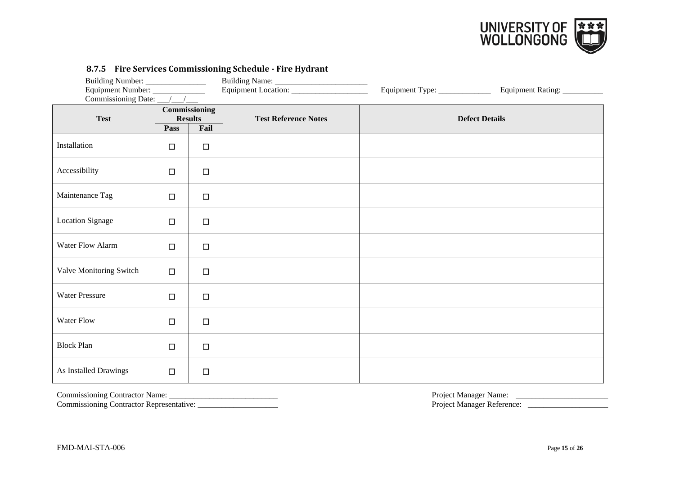

| Building Number: ________________<br>Equipment Number: _______________<br>Commissioning Date: __/__/___ |        |                                         |                             | Equipment Type: _______________ | Equipment Rating:     |
|---------------------------------------------------------------------------------------------------------|--------|-----------------------------------------|-----------------------------|---------------------------------|-----------------------|
| <b>Test</b>                                                                                             | Pass   | Commissioning<br><b>Results</b><br>Fail | <b>Test Reference Notes</b> |                                 | <b>Defect Details</b> |
| Installation                                                                                            | $\Box$ | $\Box$                                  |                             |                                 |                       |
| Accessibility                                                                                           | $\Box$ | $\Box$                                  |                             |                                 |                       |
| Maintenance Tag                                                                                         | $\Box$ | $\Box$                                  |                             |                                 |                       |
| <b>Location Signage</b>                                                                                 | $\Box$ | $\Box$                                  |                             |                                 |                       |
| Water Flow Alarm                                                                                        | $\Box$ | $\Box$                                  |                             |                                 |                       |
| Valve Monitoring Switch                                                                                 | $\Box$ | $\Box$                                  |                             |                                 |                       |
| <b>Water Pressure</b>                                                                                   | $\Box$ | $\Box$                                  |                             |                                 |                       |
| Water Flow                                                                                              | $\Box$ | $\Box$                                  |                             |                                 |                       |
| <b>Block Plan</b>                                                                                       | $\Box$ | $\Box$                                  |                             |                                 |                       |
| As Installed Drawings                                                                                   | $\Box$ | $\Box$                                  |                             |                                 |                       |

# **8.7.5 Fire Services Commissioning Schedule - Fire Hydrant**

<span id="page-17-0"></span>Commissioning Contractor Name: \_\_\_\_\_\_\_\_\_\_\_\_\_\_\_\_\_\_\_\_\_\_\_\_\_\_\_ Project Manager Name: \_\_\_\_\_\_\_\_\_\_\_\_\_\_\_\_\_\_\_\_\_\_\_ Commissioning Contractor Representative: \_\_\_\_\_\_\_\_\_\_\_\_\_\_\_\_\_\_\_\_ Project Manager Reference: \_\_\_\_\_\_\_\_\_\_\_\_\_\_\_\_\_\_\_\_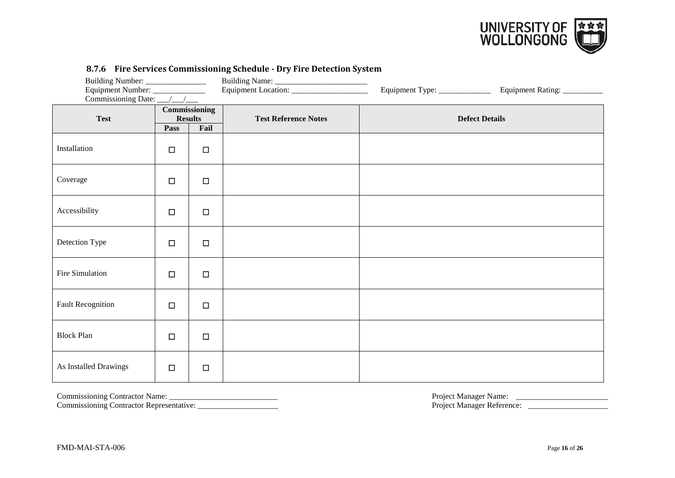

| Equipment Number: ______________<br>Commissioning Date: __/__/__ |                |                                 | Equipment Location: _______________________ | Equipment Type: ______________ | Equipment Rating: __________ |
|------------------------------------------------------------------|----------------|---------------------------------|---------------------------------------------|--------------------------------|------------------------------|
| <b>Test</b>                                                      |                | Commissioning<br><b>Results</b> | <b>Test Reference Notes</b>                 |                                | <b>Defect Details</b>        |
| Installation                                                     | Pass<br>$\Box$ | Fail<br>$\Box$                  |                                             |                                |                              |
| Coverage                                                         | $\Box$         | $\Box$                          |                                             |                                |                              |
| Accessibility                                                    | $\Box$         | $\Box$                          |                                             |                                |                              |
| Detection Type                                                   | $\Box$         | $\Box$                          |                                             |                                |                              |
| Fire Simulation                                                  | $\Box$         | $\Box$                          |                                             |                                |                              |
| <b>Fault Recognition</b>                                         | $\Box$         | $\Box$                          |                                             |                                |                              |
| <b>Block Plan</b>                                                | $\Box$         | $\Box$                          |                                             |                                |                              |
| As Installed Drawings                                            | $\Box$         | $\Box$                          |                                             |                                |                              |

#### **8.7.6 Fire Services Commissioning Schedule - Dry Fire Detection System**

<span id="page-18-0"></span>

Commissioning Contractor Representative: \_\_\_\_\_\_\_\_\_\_\_\_\_\_\_\_\_\_\_\_ Project Manager Reference: \_\_\_\_\_\_\_\_\_\_\_\_\_\_\_\_\_\_\_\_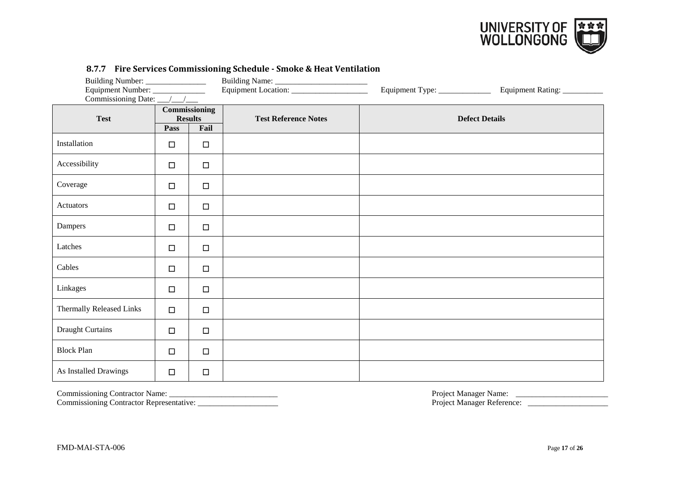

| Equipment Number: ______________<br>Commissioning Date: __/__/__ |                        |                       | Equipment Type: ____________ | Equipment Rating: __________ |                       |
|------------------------------------------------------------------|------------------------|-----------------------|------------------------------|------------------------------|-----------------------|
| <b>Test</b>                                                      | <b>Results</b><br>Pass | Commissioning<br>Fail | <b>Test Reference Notes</b>  |                              | <b>Defect Details</b> |
| Installation                                                     | $\Box$                 | $\Box$                |                              |                              |                       |
| Accessibility                                                    | $\Box$                 | $\Box$                |                              |                              |                       |
| Coverage                                                         | $\Box$                 | $\Box$                |                              |                              |                       |
| Actuators                                                        | $\Box$                 | $\Box$                |                              |                              |                       |
| Dampers                                                          | $\Box$                 | $\Box$                |                              |                              |                       |
| Latches                                                          | $\Box$                 | $\Box$                |                              |                              |                       |
| Cables                                                           | $\Box$                 | $\Box$                |                              |                              |                       |
| Linkages                                                         | $\Box$                 | $\Box$                |                              |                              |                       |
| Thermally Released Links                                         | $\Box$                 | $\Box$                |                              |                              |                       |
| <b>Draught Curtains</b>                                          | $\Box$                 | $\Box$                |                              |                              |                       |
| <b>Block Plan</b>                                                | $\Box$                 | $\Box$                |                              |                              |                       |
| As Installed Drawings                                            | $\Box$                 | $\Box$                |                              |                              |                       |

#### **8.7.7 Fire Services Commissioning Schedule - Smoke & Heat Ventilation**

<span id="page-19-0"></span>Commissioning Contractor Name: \_\_\_\_\_\_\_\_\_\_\_\_\_\_\_\_\_\_\_\_\_\_\_\_\_\_\_ Project Manager Name: \_\_\_\_\_\_\_\_\_\_\_\_\_\_\_\_\_\_\_\_\_\_\_ Commissioning Contractor Representative: \_\_\_\_\_\_\_\_\_\_\_\_\_\_\_\_\_\_\_\_ Project Manager Reference: \_\_\_\_\_\_\_\_\_\_\_\_\_\_\_\_\_\_\_\_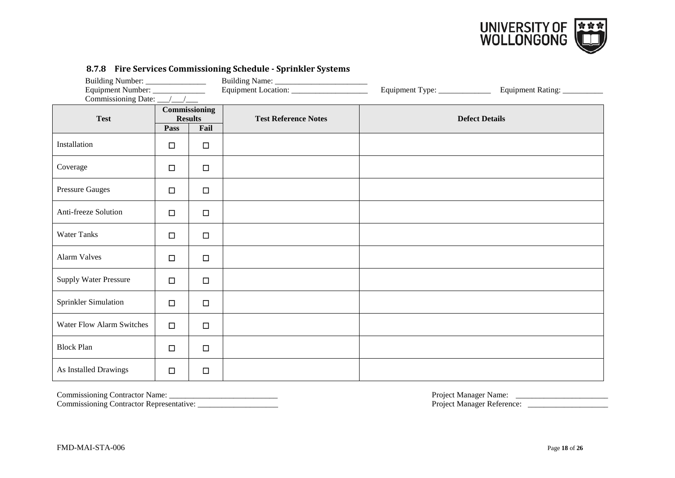

| Equipment Number: ______________<br>Commissioning Date: __/__/___ |        |                                         | on to the bet rices commissioning beneaute toprimate bysiems<br>Equipment Location: ______________________ | Equipment Type: ______________ | Equipment Rating:     |
|-------------------------------------------------------------------|--------|-----------------------------------------|------------------------------------------------------------------------------------------------------------|--------------------------------|-----------------------|
| <b>Test</b>                                                       | Pass   | Commissioning<br><b>Results</b><br>Fail | <b>Test Reference Notes</b>                                                                                |                                | <b>Defect Details</b> |
| Installation                                                      | $\Box$ | $\Box$                                  |                                                                                                            |                                |                       |
| Coverage                                                          | $\Box$ | $\Box$                                  |                                                                                                            |                                |                       |
| <b>Pressure Gauges</b>                                            | $\Box$ | $\Box$                                  |                                                                                                            |                                |                       |
| Anti-freeze Solution                                              | $\Box$ | $\Box$                                  |                                                                                                            |                                |                       |
| <b>Water Tanks</b>                                                | $\Box$ | $\Box$                                  |                                                                                                            |                                |                       |
| <b>Alarm Valves</b>                                               | $\Box$ | $\Box$                                  |                                                                                                            |                                |                       |
| <b>Supply Water Pressure</b>                                      | $\Box$ | $\Box$                                  |                                                                                                            |                                |                       |
| Sprinkler Simulation                                              | $\Box$ | $\Box$                                  |                                                                                                            |                                |                       |
| <b>Water Flow Alarm Switches</b>                                  | $\Box$ | $\Box$                                  |                                                                                                            |                                |                       |
| <b>Block Plan</b>                                                 | $\Box$ | $\Box$                                  |                                                                                                            |                                |                       |
| As Installed Drawings                                             | $\Box$ | $\Box$                                  |                                                                                                            |                                |                       |

#### **8.7.8 Fire Services Commissioning Schedule - Sprinkler Systems**

<span id="page-20-0"></span>Commissioning Contractor Name: \_\_\_\_\_\_\_\_\_\_\_\_\_\_\_\_\_\_\_\_\_\_\_\_\_\_\_ Project Manager Name: \_\_\_\_\_\_\_\_\_\_\_\_\_\_\_\_\_\_\_\_\_\_\_ Commissioning Contractor Representative: \_\_\_\_\_\_\_\_\_\_\_\_\_\_\_\_\_\_\_\_ Project Manager Reference: \_\_\_\_\_\_\_\_\_\_\_\_\_\_\_\_\_\_\_\_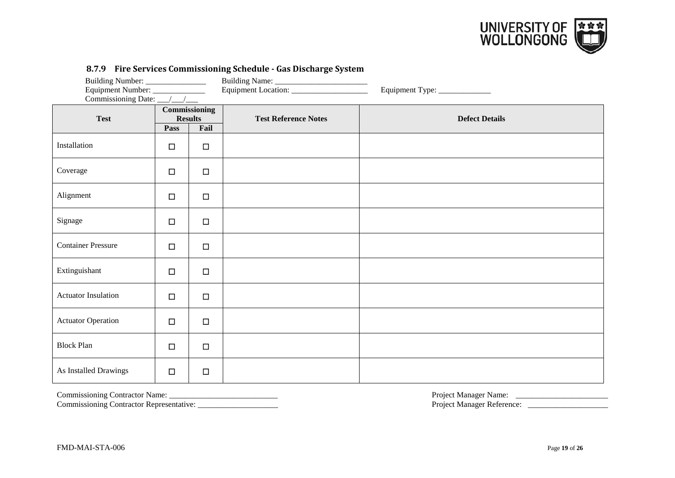

| Building Number: _________________<br>Equipment Number: _____________<br>Commissioning Date: // |        |                                         | 0.7.7 THE SETVICES COMMISSIONING SCHEURIC THIS DISCHIN GC SYSTEM<br>Equipment Location: ______________________ | Equipment Type: _____________ |
|-------------------------------------------------------------------------------------------------|--------|-----------------------------------------|----------------------------------------------------------------------------------------------------------------|-------------------------------|
| <b>Test</b>                                                                                     | Pass   | Commissioning<br><b>Results</b><br>Fail | <b>Test Reference Notes</b>                                                                                    | <b>Defect Details</b>         |
| Installation                                                                                    | □      | $\Box$                                  |                                                                                                                |                               |
| Coverage                                                                                        | $\Box$ | $\Box$                                  |                                                                                                                |                               |
| Alignment                                                                                       | $\Box$ | $\Box$                                  |                                                                                                                |                               |
| Signage                                                                                         | $\Box$ | $\Box$                                  |                                                                                                                |                               |
| <b>Container Pressure</b>                                                                       | $\Box$ | $\Box$                                  |                                                                                                                |                               |
| Extinguishant                                                                                   | $\Box$ | $\Box$                                  |                                                                                                                |                               |
| <b>Actuator Insulation</b>                                                                      | $\Box$ | $\Box$                                  |                                                                                                                |                               |
| <b>Actuator Operation</b>                                                                       | $\Box$ | $\Box$                                  |                                                                                                                |                               |
| <b>Block Plan</b>                                                                               | $\Box$ | $\Box$                                  |                                                                                                                |                               |
| As Installed Drawings                                                                           | $\Box$ | $\Box$                                  |                                                                                                                |                               |

#### **8.7.9 Fire Services Commissioning Schedule - Gas Discharge System**

Commissioning Contractor Name: \_\_\_\_\_\_\_\_\_\_\_\_\_\_\_\_\_\_\_\_\_\_\_\_\_\_\_ Project Manager Name: \_\_\_\_\_\_\_\_\_\_\_\_\_\_\_\_\_\_\_\_\_\_\_

<span id="page-21-0"></span>Commissioning Contractor Representative: \_\_\_\_\_\_\_\_\_\_\_\_\_\_\_\_\_\_\_\_ Project Manager Reference: \_\_\_\_\_\_\_\_\_\_\_\_\_\_\_\_\_\_\_\_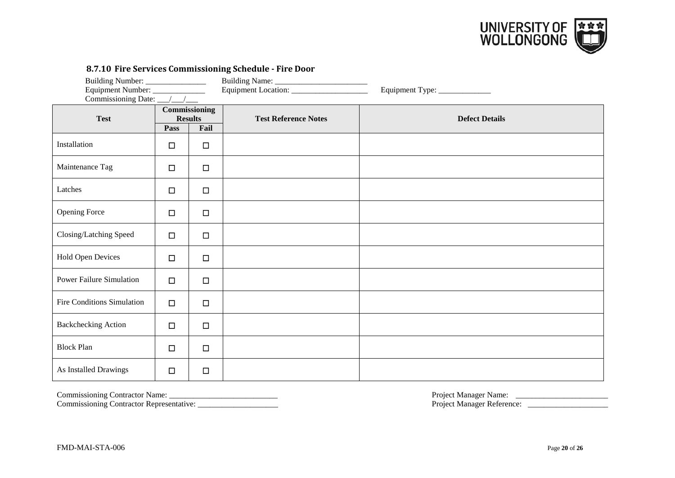

# **8.7.10 Fire Services Commissioning Schedule - Fire Door**

| Equipment Number: _____________ |                                                        |        |                             | Equipment Type: ______________ |
|---------------------------------|--------------------------------------------------------|--------|-----------------------------|--------------------------------|
| Commissioning Date: __/__/__    |                                                        |        |                             |                                |
| <b>Test</b>                     | <b>Commissioning</b><br><b>Results</b><br>Fail<br>Pass |        | <b>Test Reference Notes</b> | <b>Defect Details</b>          |
| Installation                    | $\Box$                                                 | $\Box$ |                             |                                |
| Maintenance Tag                 | $\Box$                                                 | $\Box$ |                             |                                |
| Latches                         | $\Box$                                                 | $\Box$ |                             |                                |
| <b>Opening Force</b>            | $\Box$                                                 | $\Box$ |                             |                                |
| Closing/Latching Speed          | $\Box$                                                 | $\Box$ |                             |                                |
| <b>Hold Open Devices</b>        | $\Box$                                                 | $\Box$ |                             |                                |
| <b>Power Failure Simulation</b> | $\Box$                                                 | $\Box$ |                             |                                |
| Fire Conditions Simulation      | $\Box$                                                 | $\Box$ |                             |                                |
| <b>Backchecking Action</b>      | $\Box$                                                 | $\Box$ |                             |                                |
| <b>Block Plan</b>               | $\Box$                                                 | $\Box$ |                             |                                |
| As Installed Drawings           | $\Box$                                                 | $\Box$ |                             |                                |

<span id="page-22-0"></span>Commissioning Contractor Representative: \_\_\_\_\_\_\_\_\_\_\_\_\_\_\_\_\_\_\_\_ Project Manager Reference: \_\_\_\_\_\_\_\_\_\_\_\_\_\_\_\_\_\_\_\_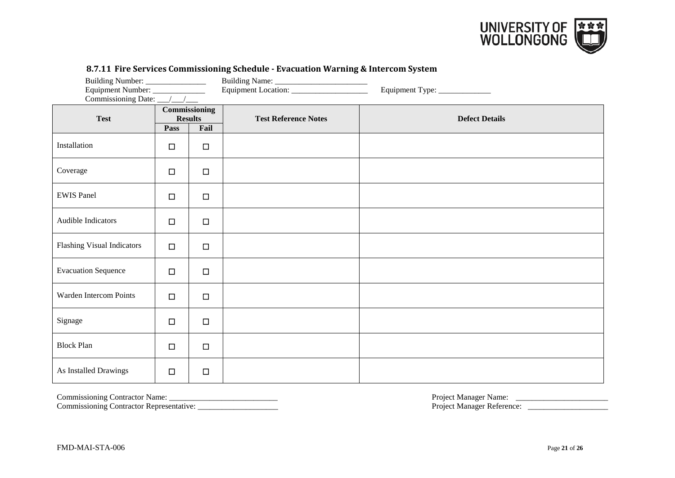

| Equipment Number: _____________<br>Commissioning Date: __/__/__ |                                                 |        |                             | Equipment Type: ____________ |
|-----------------------------------------------------------------|-------------------------------------------------|--------|-----------------------------|------------------------------|
| <b>Test</b>                                                     | Commissioning<br><b>Results</b><br>Fail<br>Pass |        | <b>Test Reference Notes</b> | <b>Defect Details</b>        |
| Installation                                                    | $\Box$                                          | $\Box$ |                             |                              |
| Coverage                                                        | $\Box$                                          | $\Box$ |                             |                              |
| <b>EWIS Panel</b>                                               | $\Box$                                          | $\Box$ |                             |                              |
| Audible Indicators                                              | $\Box$                                          | $\Box$ |                             |                              |
| <b>Flashing Visual Indicators</b>                               | $\Box$                                          | $\Box$ |                             |                              |
| <b>Evacuation Sequence</b>                                      | $\Box$                                          | $\Box$ |                             |                              |
| Warden Intercom Points                                          | $\Box$                                          | $\Box$ |                             |                              |
| Signage                                                         | $\Box$                                          | $\Box$ |                             |                              |
| <b>Block Plan</b>                                               | $\Box$                                          | $\Box$ |                             |                              |
| As Installed Drawings                                           | $\Box$                                          | $\Box$ |                             |                              |

# **8.7.11 Fire Services Commissioning Schedule - Evacuation Warning & Intercom System**

<span id="page-23-0"></span>

Commissioning Contractor Representative: \_\_\_\_\_\_\_\_\_\_\_\_\_\_\_\_\_\_\_\_ Project Manager Reference: \_\_\_\_\_\_\_\_\_\_\_\_\_\_\_\_\_\_\_\_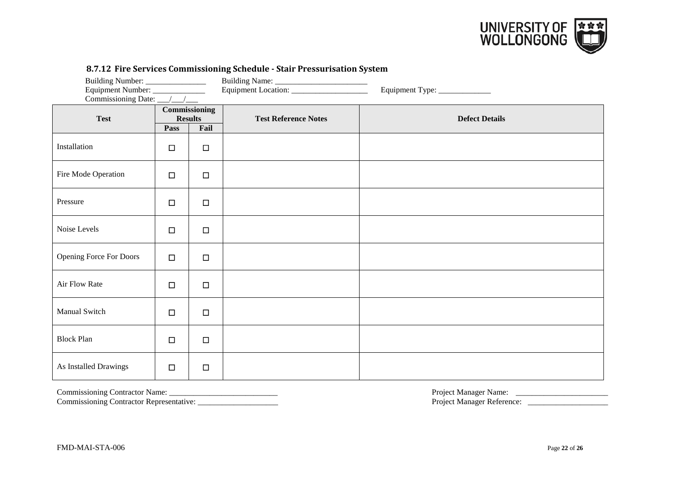

| 0.7.12 THE SETVICS COMMISSIONING SCHEUGHE SUGHT FESSULISATION SYSTEM<br>Building Number: _________________<br>Equipment Number: _____________<br>Commissioning Date: __/__/___ |                                                 |        |                             | Equipment Type: _____________ |
|--------------------------------------------------------------------------------------------------------------------------------------------------------------------------------|-------------------------------------------------|--------|-----------------------------|-------------------------------|
| <b>Test</b>                                                                                                                                                                    | Commissioning<br><b>Results</b><br>Pass<br>Fail |        | <b>Test Reference Notes</b> | <b>Defect Details</b>         |
| Installation                                                                                                                                                                   | $\Box$                                          | $\Box$ |                             |                               |
| Fire Mode Operation                                                                                                                                                            | $\Box$                                          | $\Box$ |                             |                               |
| Pressure                                                                                                                                                                       | $\Box$                                          | $\Box$ |                             |                               |
| Noise Levels                                                                                                                                                                   | $\Box$                                          | $\Box$ |                             |                               |
| <b>Opening Force For Doors</b>                                                                                                                                                 | $\Box$                                          | $\Box$ |                             |                               |
| Air Flow Rate                                                                                                                                                                  | $\Box$                                          | $\Box$ |                             |                               |
| Manual Switch                                                                                                                                                                  | $\Box$                                          | $\Box$ |                             |                               |
| <b>Block Plan</b>                                                                                                                                                              | $\Box$                                          | $\Box$ |                             |                               |
| As Installed Drawings                                                                                                                                                          | $\Box$                                          | $\Box$ |                             |                               |

#### **8.7.12 Fire Services Commissioning Schedule - Stair Pressurisation System**

<span id="page-24-0"></span>

Commissioning Contractor Representative: \_\_\_\_\_\_\_\_\_\_\_\_\_\_\_\_\_\_\_\_ Project Manager Reference: \_\_\_\_\_\_\_\_\_\_\_\_\_\_\_\_\_\_\_\_